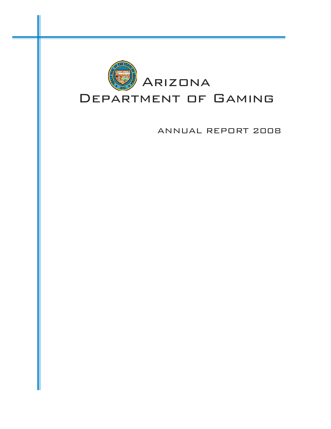

ANNUAL REPORT 2008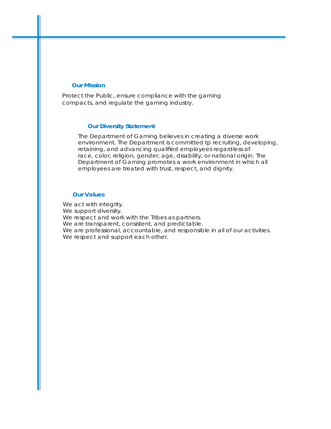#### **Our Mission**

Protect the Public, ensure compliance with the gaming compacts, and regulate the gaming industry.

#### **Our Diversity Statement**

The Department of Gaming believes in creating a diverse work environment. The Department is committed tp recruiting, developing, retaining, and advancing qualified employees regardless of race, color, religion, gender, age, disability, or national origin. The Department of Gaming promotes a work environment in which all employees are treated with trust, respect, and dignity.

#### **Our Values**

We act with integrity. We support diversity. We respect and work with the Tribes as partners. We are transparent, consistent, and predictable. We are professional, accountable, and responsible in all of our activities. We respect and support each other.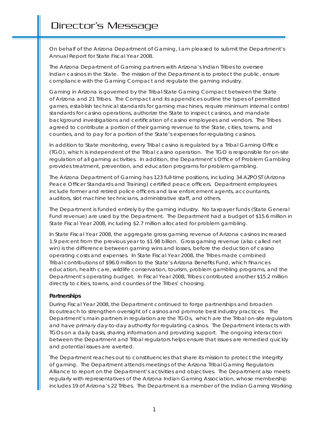On behalf of the Arizona Department of Gaming, I am pleased to submit the Department's Annual Report for State Fiscal Year 2008.

The Arizona Department of Gaming partners with Arizona's Indian Tribes to oversee Indian casinos in the State. The mission of the Department is to protect the public, ensure compliance with the Gaming Compact and regulate the gaming industry.

Gaming in Arizona is governed by the Tribal-State Gaming Compact between the State of Arizona and 21 Tribes. The Compact and its appendices outline the types of permitted games, establish technical standards for gaming machines, require minimum internal control standards for casino operations, authorize the State to inspect casinos, and mandate background investigations and certification of casino employees and vendors. The Tribes agreed to contribute a portion of their gaming revenue to the State, cities, towns, and counties, and to pay for a portion of the State's expenses for regulating casinos.

In addition to State monitoring, every Tribal casino is regulated by a Tribal Gaming Office (TGO), which is independent of the Tribal casino operation. The TGO is responsible for on-site regulation of all gaming activities. In addition, the Department's Office of Problem Gambling provides treatment, prevention, and education programs for problem gambling.

The Arizona Department of Gaming has 123 full-time positions, including 34 AZPOST (Arizona Peace Officer Standards and Training) certified peace officers. Department employees include former and retired police officers and law enforcement agents, accountants, auditors, slot machine technicians, administrative staff, and others.

The Department is funded entirely by the gaming industry. No taxpayer funds (State General Fund revenue) are used by the Department. The Department had a budget of \$15.6 million in State Fiscal Year 2008, including \$2.7 million allocated for problem gambling.

In State Fiscal Year 2008, the aggregate gross gaming revenue of Arizona casinos increased 1.9 percent from the previous year to \$1.98 billion. Gross gaming revenue (also called net win) is the difference between gaming wins and losses, before the deduction of casino operating costs and expenses. In State Fiscal Year 2008, the Tribes made combined Tribal contributions of \$96.0 million to the State's Arizona Benefits Fund, which finances education, health care, wildlife conservation, tourism, problem gambling programs, and the Department's operating budget. In Fiscal Year 2008, Tribes contributed another \$15.2 million directly to cities, towns, and counties of the Tribes' choosing.

#### *Partnerships*

During Fiscal Year 2008, the Department continued to forge partnerships and broaden its outreach to strengthen oversight of casinos and promote best industry practices. The Department's main partners in regulation are the TGOs, which are the Tribal on-site regulators and have primary day-to-day authority for regulating casinos. The Department interacts with TGOs on a daily basis, sharing information and providing support. The ongoing interaction between the Department and Tribal regulators helps ensure that issues are remedied quickly and potential issues are averted.

The Department reaches out to constituencies that share its mission to protect the integrity of gaming. The Department attends meetings of the Arizona Tribal Gaming Regulators Alliance to report on the Department's activities and objectives. The Department also meets regularly with representatives of the Arizona Indian Gaming Association, whose membership includes 19 of Arizona's 22 Tribes. The Department is a member of the Indian Gaming Working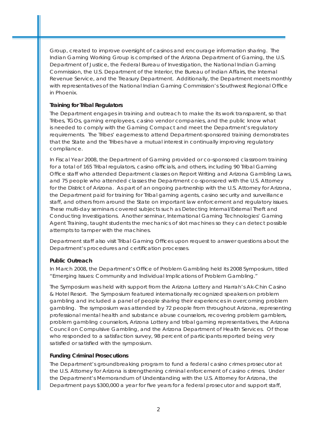Group, created to improve oversight of casinos and encourage information sharing. The Indian Gaming Working Group is comprised of the Arizona Department of Gaming, the U.S. Department of Justice, the Federal Bureau of Investigation, the National Indian Gaming Commission, the U.S. Department of the Interior, the Bureau of Indian Affairs, the Internal Revenue Service, and the Treasury Department. Additionally, the Department meets monthly with representatives of the National Indian Gaming Commission's Southwest Regional Office in Phoenix.

#### *Training for Tribal Regulators*

The Department engages in training and outreach to make the its work transparent, so that Tribes, TGOs, gaming employees, casino vendor companies, and the public know what is needed to comply with the Gaming Compact and meet the Department's regulatory requirements. The Tribes' eagerness to attend Department-sponsored training demonstrates that the State and the Tribes have a mutual interest in continually improving regulatory compliance.

In Fiscal Year 2008, the Department of Gaming provided or co-sponsored classroom training for a total of 165 Tribal regulators, casino officials, and others, including 90 Tribal Gaming Office staff who attended Department classes on Report Writing and Arizona Gambling Laws, and 75 people who attended classes the Department co-sponsored with the U.S. Attorney for the District of Arizona. As part of an ongoing partnership with the U.S. Attorney for Arizona, the Department paid for training for Tribal gaming agents, casino security and surveillance staff, and others from around the State on important law enforcement and regulatory issues. These multi-day seminars covered subjects such as Detecting Internal/External Theft and Conducting Investigations. Another seminar, International Gaming Technologies' Gaming Agent Training, taught students the mechanics of slot machines so they can detect possible attempts to tamper with the machines.

Department staff also visit Tribal Gaming Offices upon request to answer questions about the Department's procedures and certification processes.

#### *Public Outreach*

In March 2008, the Department's Office of Problem Gambling held its 2008 Symposium, titled "Emerging Issues: Community and Individual Implications of Problem Gambling."

The Symposium was held with support from the Arizona Lottery and Harrah's Ak-Chin Casino & Hotel Resort. The Symposium featured internationally recognized speakers on problem gambling and included a panel of people sharing their experiences in overcoming problem gambling. The symposium was attended by 72 people from throughout Arizona, representing professional mental health and substance abuse counselors, recovering problem gamblers, problem gambling counselors, Arizona Lottery and tribal gaming representatives, the Arizona Council on Compulsive Gambling, and the Arizona Department of Health Services. Of those who responded to a satisfaction survey, 98 percent of participants reported being very satisfied or satisfied with the symposium.

#### *Funding Criminal Prosecutions*

The Department's groundbreaking program to fund a federal casino crimes prosecutor at the U.S. Attorney for Arizona is strengthening criminal enforcement of casino crimes. Under the Department's Memorandum of Understanding with the U.S. Attorney for Arizona, the Department pays \$300,000 a year for five years for a federal prosecutor and support staff,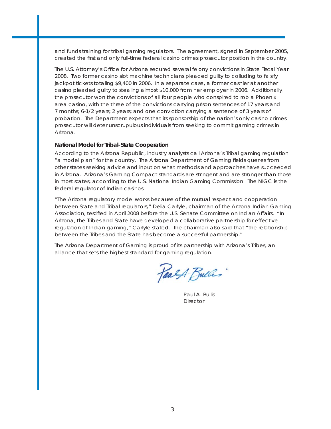and funds training for tribal gaming regulators. The agreement, signed in September 2005, created the first and only full-time federal casino crimes prosecutor position in the country.

The U.S. Attorney's Office for Arizona secured several felony convictions in State Fiscal Year 2008. Two former casino slot machine technicians pleaded guilty to colluding to falsify jackpot tickets totaling \$9,400 in 2006. In a separate case, a former cashier at another casino pleaded guilty to stealing almost \$10,000 from her employer in 2006. Additionally, the prosecutor won the convictions of all four people who conspired to rob a Phoenix area casino, with the three of the convictions carrying prison sentences of 17 years and 7 months; 6-1/2 years; 2 years; and one conviction carrying a sentence of 3 years of probation. The Department expects that its sponsorship of the nation's only casino crimes prosecutor will deter unscrupulous individuals from seeking to commit gaming crimes in Arizona.

#### *National Model for Tribal-State Cooperation*

According to the *Arizona Republic*, industry analysts call Arizona's Tribal gaming regulation "a model plan" for the country. The Arizona Department of Gaming fields queries from other states seeking advice and input on what methods and approaches have succeeded in Arizona. Arizona's Gaming Compact standards are stringent and are stronger than those in most states, according to the U.S. National Indian Gaming Commission. The NIGC is the federal regulator of Indian casinos.

"The Arizona regulatory model works because of the mutual respect and cooperation between State and Tribal regulators," Delia Carlyle, chairman of the Arizona Indian Gaming Association, testified in April 2008 before the U.S. Senate Committee on Indian Affairs. "In Arizona, the Tribes and State have developed a collaborative partnership for effective regulation of Indian gaming," Carlyle stated. The chairman also said that "the relationship between the Tribes and the State has become a successful partnership."

The Arizona Department of Gaming is proud of its partnership with Arizona's Tribes, an alliance that sets the highest standard for gaming regulation.

Paals Bulles

Paul A. Bullis **Director**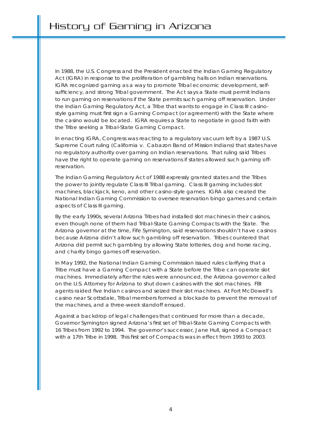In 1988, the U.S. Congress and the President enacted the Indian Gaming Regulatory Act (IGRA) in response to the proliferation of gambling halls on Indian reservations. IGRA recognized gaming as a way to promote Tribal economic development, selfsufficiency, and strong Tribal government. The Act says a State must permit Indians to run gaming on reservations if the State permits such gaming off reservation. Under the Indian Gaming Regulatory Act, a Tribe that wants to engage in Class III casinostyle gaming must first sign a Gaming Compact (or agreement) with the State where the casino would be located. IGRA requires a State to negotiate in good faith with the Tribe seeking a Tribal-State Gaming Compact.

In enacting IGRA, Congress was reacting to a regulatory vacuum left by a 1987 U.S. Supreme Court ruling (California v. Cabazon Band of Mission Indians) that states have no regulatory authority over gaming on Indian reservations. That ruling said Tribes have the right to operate gaming on reservations if states allowed such gaming offreservation.

The Indian Gaming Regulatory Act of 1988 expressly granted states and the Tribes the power to jointly regulate Class III Tribal gaming. Class III gaming includes slot machines, blackjack, keno, and other casino-style games. IGRA also created the National Indian Gaming Commission to oversee reservation bingo games and certain aspects of Class III gaming.

By the early 1990s, several Arizona Tribes had installed slot machines in their casinos, even though none of them had Tribal-State Gaming Compacts with the State. The Arizona governor at the time, Fife Symington, said reservations shouldn't have casinos because Arizona didn't allow such gambling off reservation. Tribes countered that Arizona did permit such gambling by allowing State lotteries, dog and horse racing, and charity bingo games off reservation.

In May 1992, the National Indian Gaming Commission issued rules clarifying that a Tribe must have a Gaming Compact with a State before the Tribe can operate slot machines. Immediately after the rules were announced, the Arizona governor called on the U.S. Attorney for Arizona to shut down casinos with the slot machines. FBI agents raided five Indian casinos and seized their slot machines. At Fort McDowell's casino near Scottsdale, Tribal members formed a blockade to prevent the removal of the machines, and a three-week standoff ensued.

Against a backdrop of legal challenges that continued for more than a decade, Governor Symington signed Arizona's first set of Tribal-State Gaming Compacts with 16 Tribes from 1992 to 1994. The governor's successor, Jane Hull, signed a Compact with a 17th Tribe in 1998. This first set of Compacts was in effect from 1993 to 2003.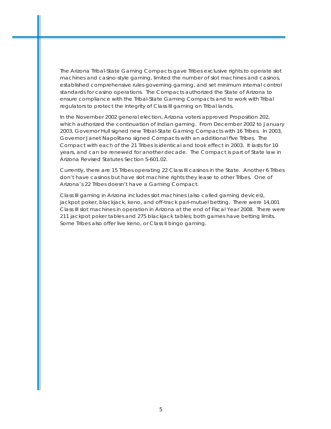The Arizona Tribal-State Gaming Compacts gave Tribes exclusive rights to operate slot machines and casino-style gaming, limited the number of slot machines and casinos, established comprehensive rules governing gaming, and set minimum internal control standards for casino operations. The Compacts authorized the State of Arizona to ensure compliance with the Tribal-State Gaming Compacts and to work with Tribal regulators to protect the integrity of Class III gaming on Tribal lands.

In the November 2002 general election, Arizona voters approved Proposition 202, which authorized the continuation of Indian gaming. From December 2002 to January 2003, Governor Hull signed new Tribal-State Gaming Compacts with 16 Tribes. In 2003, Governor Janet Napolitano signed Compacts with an additional five Tribes. The Compact with each of the 21 Tribes is identical and took effect in 2003. It lasts for 10 years, and can be renewed for another decade. The Compact is part of State law in *Arizona Revised Statutes* Section 5-601.02.

Currently, there are 15 Tribes operating 22 Class III casinos in the State. Another 6 Tribes don't have casinos but have slot machine rights they lease to other Tribes. One of Arizona's 22 Tribes doesn't have a Gaming Compact.

Class III gaming in Arizona includes slot machines (also called gaming devices), jackpot poker, blackjack, keno, and off-track pari-mutuel betting. There were 14,001 Class III slot machines in operation in Arizona at the end of Fiscal Year 2008. There were 211 jackpot poker tables and 275 blackjack tables; both games have betting limits. Some Tribes also offer live keno, or Class II bingo gaming.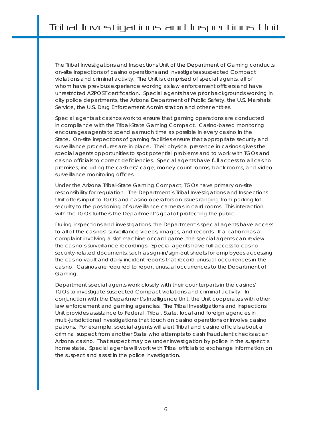The Tribal Investigations and Inspections Unit of the Department of Gaming conducts on-site inspections of casino operations and investigates suspected Compact violations and criminal activity. The Unit is comprised of special agents, all of whom have previous experience working as law enforcement officers and have unrestricted AZPOST certification. Special agents have prior backgrounds working in city police departments, the Arizona Department of Public Safety, the U.S. Marshals Service, the U.S. Drug Enforcement Administration and other entities.

Special agents at casinos work to ensure that gaming operations are conducted in compliance with the Tribal-State Gaming Compact. Casino-based monitoring encourages agents to spend as much time as possible in every casino in the State. On-site inspections of gaming facilities ensure that appropriate security and surveillance procedures are in place. Their physical presence in casinos gives the special agents opportunities to spot potential problems and to work with TGOs and casino officials to correct deficiencies. Special agents have full access to all casino premises, including the cashiers' cage, money count rooms, back rooms, and video surveillance monitoring offices.

Under the Arizona Tribal-State Gaming Compact, TGOs have primary on-site responsibility for regulation. The Department's Tribal Investigations and Inspections Unit offers input to TGOs and casino operators on issues ranging from parking lot security to the positioning of surveillance cameras in card rooms. This interaction with the TGOs furthers the Department's goal of protecting the public.

During inspections and investigations, the Department's special agents have access to all of the casinos' surveillance videos, images, and records. If a patron has a complaint involving a slot machine or card game, the special agents can review the casino's surveillance recordings. Special agents have full access to casino security-related documents, such as sign-in/sign-out sheets for employees accessing the casino vault and daily incident reports that record unusual occurrences in the casino. Casinos are required to report unusual occurrences to the Department of Gaming.

Department special agents work closely with their counterparts in the casinos' TGOs to investigate suspected Compact violations and criminal activity. In conjunction with the Department's Intelligence Unit, the Unit cooperates with other law enforcement and gaming agencies. The Tribal Investigations and Inspections Unit provides assistance to Federal, Tribal, State, local and foreign agencies in multi-jurisdictional investigations that touch on casino operations or involve casino patrons. For example, special agents will alert Tribal and casino officials about a criminal suspect from another State who attempts to cash fraudulent checks at an Arizona casino. That suspect may be under investigation by police in the suspect's home state. Special agents will work with Tribal officials to exchange information on the suspect and assist in the police investigation.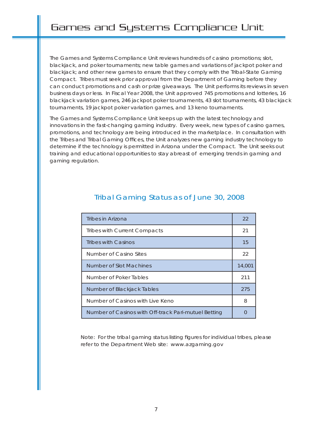The Games and Systems Compliance Unit reviews hundreds of casino promotions; slot, blackjack, and poker tournaments; new table games and variations of jackpot poker and blackjack; and other new games to ensure that they comply with the Tribal-State Gaming Compact. Tribes must seek prior approval from the Department of Gaming before they can conduct promotions and cash or prize giveaways. The Unit performs its reviews in seven business days or less. In Fiscal Year 2008, the Unit approved 745 promotions and lotteries, 16 blackjack variation games, 246 jackpot poker tournaments, 43 slot tournaments, 43 blackjack tournaments, 19 jackpot poker variation games, and 13 keno tournaments.

The Games and Systems Compliance Unit keeps up with the latest technology and innovations in the fast-changing gaming industry. Every week, new types of casino games, promotions, and technology are being introduced in the marketplace. In consultation with the Tribes and Tribal Gaming Offices, the Unit analyzes new gaming industry technology to determine if the technology is permitted in Arizona under the Compact. The Unit seeks out training and educational opportunities to stay abreast of emerging trends in gaming and gaming regulation.

| Tribes in Arizona                                    | 22     |
|------------------------------------------------------|--------|
| Tribes with Current Compacts                         | 21     |
| Tribes with Casinos                                  | 15     |
| Number of Casino Sites                               | 22     |
| Number of Slot Machines                              | 14,001 |
| Number of Poker Tables                               | 211    |
| Number of Blackjack Tables                           | 275    |
| Number of Casinos with Live Keno                     | 8      |
| Number of Casinos with Off-track Pari-mutuel Betting |        |

# Tribal Gaming Status as of June 30, 2008

Note: For the tribal gaming status listing figures for individual tribes, please refer to the Department Web site: www.azgaming.gov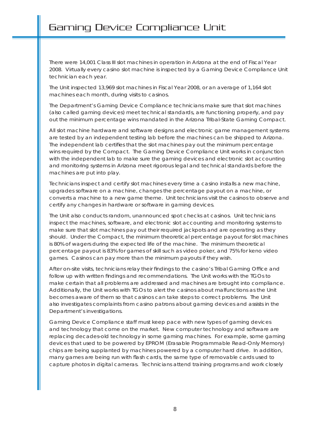There were 14,001 Class III slot machines in operation in Arizona at the end of Fiscal Year 2008. Virtually every casino slot machine is inspected by a Gaming Device Compliance Unit technician each year.

The Unit inspected 13,969 slot machines in Fiscal Year 2008, or an average of 1,164 slot machines each month, during visits to casinos.

The Department's Gaming Device Compliance technicians make sure that slot machines (also called gaming devices) meet technical standards, are functioning properly, and pay out the minimum percentage wins mandated in the Arizona Tribal-State Gaming Compact.

All slot machine hardware and software designs and electronic game management systems are tested by an independent testing lab before the machines can be shipped to Arizona. The independent lab certifies that the slot machines pay out the minimum percentage wins required by the Compact. The Gaming Device Compliance Unit works in conjunction with the independent lab to make sure the gaming devices and electronic slot accounting and monitoring systems in Arizona meet rigorous legal and technical standards before the machines are put into play.

Technicians inspect and certify slot machines every time a casino installs a new machine, upgrades software on a machine, changes the percentage payout on a machine, or converts a machine to a new game theme. Unit technicians visit the casinos to observe and certify any changes in hardware or software in gaming devices.

The Unit also conducts random, unannounced spot checks at casinos. Unit technicians inspect the machines, software, and electronic slot accounting and monitoring systems to make sure that slot machines pay out their required jackpots and are operating as they should. Under the Compact, the minimum theoretical percentage payout for slot machines is 80% of wagers during the expected life of the machine. The minimum theoretical percentage payout is 83% for games of skill such as video poker, and 75% for keno video games. Casinos can pay more than the minimum payouts if they wish.

After on-site visits, technicians relay their findings to the casino's Tribal Gaming Office and follow up with written findings and recommendations. The Unit works with the TGOs to make certain that all problems are addressed and machines are brought into compliance. Additionally, the Unit works with TGOs to alert the casinos about malfunctions as the Unit becomes aware of them so that casinos can take steps to correct problems. The Unit also investigates complaints from casino patrons about gaming devices and assists in the Department's investigations.

Gaming Device Compliance staff must keep pace with new types of gaming devices and technology that come on the market. New computer technology and software are replacing decades-old technology in some gaming machines. For example, some gaming devices that used to be powered by EPROM (Erasable Programmable Read-Only Memory) chips are being supplanted by machines powered by a computer hard drive. In addition, many games are being run with flash cards, the same type of removable cards used to capture photos in digital cameras. Technicians attend training programs and work closely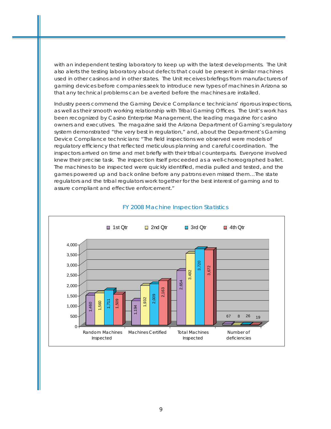with an independent testing laboratory to keep up with the latest developments. The Unit also alerts the testing laboratory about defects that could be present in similar machines used in other casinos and in other states. The Unit receives briefings from manufacturers of gaming devices before companies seek to introduce new types of machines in Arizona so that any technical problems can be averted before the machines are installed.

Industry peers commend the Gaming Device Compliance technicians' rigorous inspections, as well as their smooth working relationship with Tribal Gaming Offices. The Unit's work has been recognized by *Casino Enterprise Management*, the leading magazine for casino owners and executives. The magazine said the Arizona Department of Gaming's regulatory system demonstrated "the very best in regulation," and, about the Department's Gaming Device Compliance technicians: "The field inspections we observed were models of regulatory efficiency that reflected meticulous planning and careful coordination. The inspectors arrived on time and met briefly with their tribal counterparts. Everyone involved knew their precise task. The inspection itself proceeded as a well-choreographed ballet. The machines to be inspected were quickly identified, media pulled and tested, and the games powered up and back online before any patrons even missed them…The state regulators and the tribal regulators work together for the best interest of gaming and to assure compliant and effective enforcement."



#### FY 2008 Machine Inspection Statistics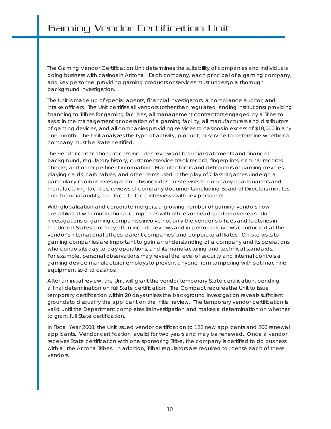The Gaming Vendor Certification Unit determines the suitability of companies and individuals doing business with casinos in Arizona. Each company, each principal of a gaming company, and key personnel providing gaming products or services must undergo a thorough background investigation.

The Unit is made up of special agents, financial investigators, a compliance auditor, and intake officers. The Unit certifies all vendors (other than regulated lending institutions) providing financing to Tribes for gaming facilities, all management contractors engaged by a Tribe to assist in the management or operation of a gaming facility, all manufacturers and distributors of gaming devices, and all companies providing services to casinos in excess of \$10,000 in any one month. The Unit analyzes the type of activity, product, or service to determine whether a company must be State certified.

The vendor certification process includes reviews of financial statements and financial background, regulatory history, customer service track record, fingerprints, criminal records checks, and other pertinent information. Manufacturers and distributors of gaming devices, playing cards, card tables, and other items used in the play of Class III games undergo a particularly rigorous investigation. This includes on-site visits to company headquarters and manufacturing facilities, reviews of company documents including Board of Directors minutes and financial audits, and face-to-face interviews with key personnel.

With globalization and corporate mergers, a growing number of gaming vendors now are affiliated with multinational companies with offices or headquarters overseas. Unit investigations of gaming companies involve not only the vendor's offices and factories in the United States, but they often include reviews and in-person interviews conducted at the vendor's international offices, parent companies, and corporate affiliates. On-site visits to gaming companies are important to gain an understanding of a company and its operations, who controls its day-to-day operations, and its manufacturing and technical standards. For example, personal observations may reveal the level of security and internal controls a gaming device manufacturer employs to prevent anyone from tampering with slot machine equipment sold to casinos.

After an initial review, the Unit will grant the vendor temporary State certification, pending a final determination on full State certification. The Compact requires the Unit to issue temporary certification within 20 days unless the background investigation reveals sufficient grounds to disqualify the applicant on the initial review. The temporary vendor certification is valid until the Department completes its investigation and makes a determination on whether to grant full State certification.

In Fiscal Year 2008, the Unit issued vendor certification to 122 new applicants and 206 renewal applicants. Vendor certification is valid for two years and may be renewed. Once a vendor receives State certification with one sponsoring Tribe, the company is certified to do business with all the Arizona Tribes. In addition, Tribal regulators are required to license each of these vendors.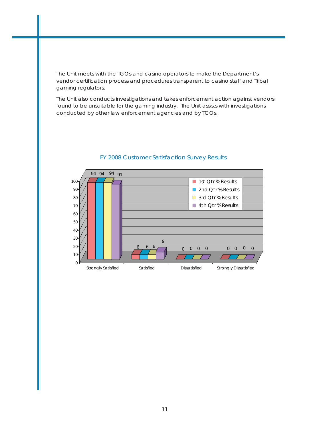The Unit meets with the TGOs and casino operators to make the Department's vendor certification process and procedures transparent to casino staff and Tribal gaming regulators.

The Unit also conducts investigations and takes enforcement action against vendors found to be unsuitable for the gaming industry. The Unit assists with investigations conducted by other law enforcement agencies and by TGOs.



# FY 2008 Customer Satisfaction Survey Results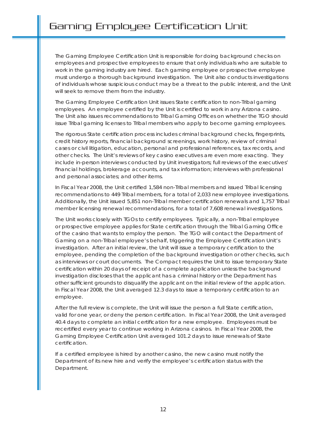# Gaming Employee Certification Unit

The Gaming Employee Certification Unit is responsible for doing background checks on employees and prospective employees to ensure that only individuals who are suitable to work in the gaming industry are hired. Each gaming employee or prospective employee must undergo a thorough background investigation. The Unit also conducts investigations of individuals whose suspicious conduct may be a threat to the public interest, and the Unit will seek to remove them from the industry.

The Gaming Employee Certification Unit issues State certification to non-Tribal gaming employees. An employee certified by the Unit is certified to work in any Arizona casino. The Unit also issues recommendations to Tribal Gaming Offices on whether the TGO should issue Tribal gaming licenses to Tribal members who apply to become gaming employees.

The rigorous State certification process includes criminal background checks, fingerprints, credit history reports, financial background screenings, work history, review of criminal cases or civil litigation, education, personal and professional references, tax records, and other checks. The Unit's reviews of key casino executives are even more exacting. They include in-person interviews conducted by Unit investigators; full reviews of the executives' financial holdings, brokerage accounts, and tax information; interviews with professional and personal associates; and other items.

In Fiscal Year 2008, the Unit certified 1,584 non-Tribal members and issued Tribal licensing recommendations to 449 Tribal members, for a total of 2,033 new employee investigations. Additionally, the Unit issued 5,851 non-Tribal member certification renewals and 1,757 Tribal member licensing renewal recommendations, for a total of 7,608 renewal investigations.

The Unit works closely with TGOs to certify employees. Typically, a non-Tribal employee or prospective employee applies for State certification through the Tribal Gaming Office of the casino that wants to employ the person. The TGO will contact the Department of Gaming on a non-Tribal employee's behalf, triggering the Employee Certification Unit's investigation. After an initial review, the Unit will issue a temporary certification to the employee, pending the completion of the background investigation or other checks, such as interviews or court documents. The Compact requires the Unit to issue temporary State certification within 20 days of receipt of a complete application unless the background investigation discloses that the applicant has a criminal history or the Department has other sufficient grounds to disqualify the applicant on the initial review of the application. In Fiscal Year 2008, the Unit averaged 12.3 days to issue a temporary certification to an employee.

After the full review is complete, the Unit will issue the person a full State certification, valid for one year, or deny the person certification. In Fiscal Year 2008, the Unit averaged 40.4 days to complete an initial certification for a new employee. Employees must be recertified every year to continue working in Arizona casinos. In Fiscal Year 2008, the Gaming Employee Certification Unit averaged 101.2 days to issue renewals of State certification.

If a certified employee is hired by another casino, the new casino must notify the Department of its new hire and verify the employee's certification status with the Department.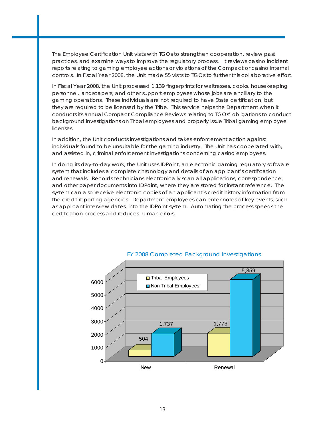The Employee Certification Unit visits with TGOs to strengthen cooperation, review past practices, and examine ways to improve the regulatory process. It reviews casino incident reports relating to gaming employee actions or violations of the Compact or casino internal controls. In Fiscal Year 2008, the Unit made 55 visits to TGOs to further this collaborative effort.

In Fiscal Year 2008, the Unit processed 1,139 fingerprints for waitresses, cooks, housekeeping personnel, landscapers, and other support employees whose jobs are ancillary to the gaming operations. These individuals are not required to have State certification, but they are required to be licensed by the Tribe. This service helps the Department when it conducts its annual Compact Compliance Reviews relating to TGOs' obligations to conduct background investigations on Tribal employees and properly issue Tribal gaming employee licenses.

In addition, the Unit conducts investigations and takes enforcement action against individuals found to be unsuitable for the gaming industry. The Unit has cooperated with, and assisted in, criminal enforcement investigations concerning casino employees.

In doing its day-to-day work, the Unit uses IDPoint, an electronic gaming regulatory software system that includes a complete chronology and details of an applicant's certification and renewals. Records technicians electronically scan all applications, correspondence, and other paper documents into IDPoint, where they are stored for instant reference. The system can also receive electronic copies of an applicant's credit history information from the credit reporting agencies. Department employees can enter notes of key events, such as applicant interview dates, into the IDPoint system. Automating the process speeds the certification process and reduces human errors.



#### FY 2008 Completed Background Investigations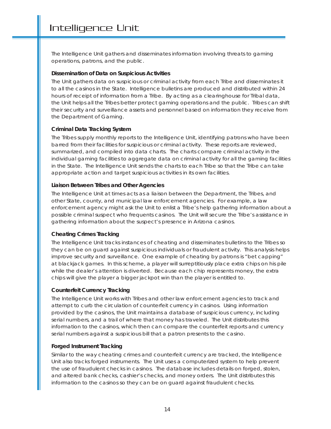The Intelligence Unit gathers and disseminates information involving threats to gaming operations, patrons, and the public.

#### *Dissemination of Data on Suspicious Activities*

The Unit gathers data on suspicious or criminal activity from each Tribe and disseminates it to all the casinos in the State. Intelligence bulletins are produced and distributed within 24 hours of receipt of information from a Tribe. By acting as a clearinghouse for Tribal data, the Unit helps all the Tribes better protect gaming operations and the public. Tribes can shift their security and surveillance assets and personnel based on information they receive from the Department of Gaming.

#### *Criminal Data Tracking System*

The Tribes supply monthly reports to the Intelligence Unit, identifying patrons who have been barred from their facilities for suspicious or criminal activity. These reports are reviewed, summarized, and compiled into data charts. The charts compare criminal activity in the individual gaming facilities to aggregate data on criminal activity for all the gaming facilities in the State. The Intelligence Unit sends the charts to each Tribe so that the Tribe can take appropriate action and target suspicious activities in its own facilities.

#### *Liaison Between Tribes and Other Agencies*

The Intelligence Unit at times acts as a liaison between the Department, the Tribes, and other State, county, and municipal law enforcement agencies. For example, a law enforcement agency might ask the Unit to enlist a Tribe's help gathering information about a possible criminal suspect who frequents casinos. The Unit will secure the Tribe's assistance in gathering information about the suspect's presence in Arizona casinos.

# *Cheating Crimes Tracking*

The Intelligence Unit tracks instances of cheating and disseminates bulletins to the Tribes so they can be on guard against suspicious individuals or fraudulent activity. This analysis helps improve security and surveillance. One example of cheating by patrons is "bet capping" at blackjack games. In this scheme, a player will surreptitiously place extra chips on his pile while the dealer's attention is diverted. Because each chip represents money, the extra chips will give the player a bigger jackpot win than the player is entitled to.

#### *Counterfeit Currency Tracking*

The Intelligence Unit works with Tribes and other law enforcement agencies to track and attempt to curb the circulation of counterfeit currency in casinos. Using information provided by the casinos, the Unit maintains a database of suspicious currency, including serial numbers, and a trail of where that money has traveled. The Unit distributes this information to the casinos, which then can compare the counterfeit reports and currency serial numbers against a suspicious bill that a patron presents to the casino.

#### *Forged Instrument Tracking*

Similar to the way cheating crimes and counterfeit currency are tracked, the Intelligence Unit also tracks forged instruments. The Unit uses a computerized system to help prevent the use of fraudulent checks in casinos. The database includes details on forged, stolen, and altered bank checks, cashier's checks, and money orders. The Unit distributes this information to the casinos so they can be on guard against fraudulent checks.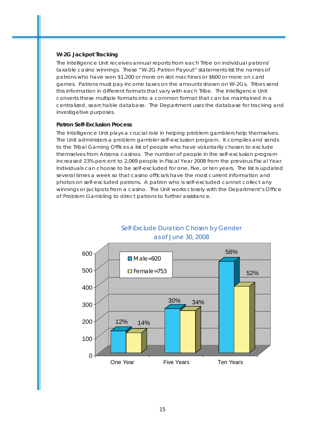#### *W-2G Jackpot Tracking*

The Intelligence Unit receives annual reports from each Tribe on individual patrons' taxable casino winnings. These "W-2G Patron Payout" statements list the names of patrons who have won \$1,200 or more on slot machines or \$600 or more on card games. Patrons must pay income taxes on the amounts shown on W-2Gs. Tribes send this information in different formats that vary with each Tribe. The Intelligence Unit converts these multiple formats into a common format that can be maintained in a centralized, searchable database. The Department uses the database for tracking and investigative purposes.

#### *Patron Self-Exclusion Process*

The Intelligence Unit plays a crucial role in helping problem gamblers help themselves. The Unit administers a problem gambler self-exclusion program. It compiles and sends to the Tribal Gaming Offices a list of people who have voluntarily chosen to exclude themselves from Arizona casinos. The number of people in the self-exclusion program increased 23% percent to 2,069 people in Fiscal Year 2008 from the previous Fiscal Year. Individuals can choose to be self-excluded for one, five, or ten years. The list is updated several times a week so that casino officials have the most current information and photos on self-excluded patrons. A patron who is self-excluded cannot collect any winnings or jackpots from a casino. The Unit works closely with the Department's Office of Problem Gambling to direct patrons to further assistance.



Self-Exclude Duration Chosen by Gender as of June 30, 2008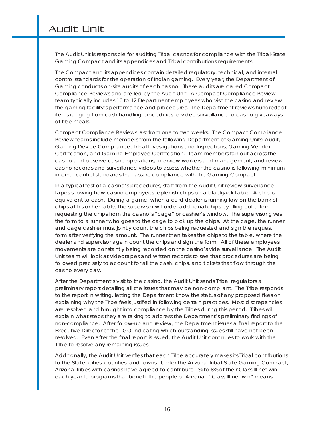The Audit Unit is responsible for auditing Tribal casinos for compliance with the Tribal-State Gaming Compact and its appendices and Tribal contributions requirements.

The Compact and its appendices contain detailed regulatory, technical, and internal control standards for the operation of Indian gaming. Every year, the Department of Gaming conducts on-site audits of each casino. These audits are called Compact Compliance Reviews and are led by the Audit Unit. A Compact Compliance Review team typically includes 10 to 12 Department employees who visit the casino and review the gaming facility's performance and procedures. The Department reviews hundreds of items ranging from cash handling procedures to video surveillance to casino giveaways of free meals.

Compact Compliance Reviews last from one to two weeks. The Compact Compliance Review teams include members from the following Department of Gaming Units: Audit, Gaming Device Compliance, Tribal Investigations and Inspections, Gaming Vendor Certification, and Gaming Employee Certification. Team members fan out across the casino and observe casino operations, interview workers and management, and review casino records and surveillance videos to assess whether the casino is following minimum internal control standards that assure compliance with the Gaming Compact.

In a typical test of a casino's procedures, staff from the Audit Unit review surveillance tapes showing how casino employees replenish chips on a blackjack table. A chip is equivalent to cash. During a game, when a card dealer is running low on the bank of chips at his or her table, the supervisor will order additional chips by filling out a form requesting the chips from the casino's "cage" or cashier's window. The supervisor gives the form to a runner who goes to the cage to pick up the chips. At the cage, the runner and cage cashier must jointly count the chips being requested and sign the request form after verifying the amount. The runner then takes the chips to the table, where the dealer and supervisor again count the chips and sign the form. All of these employees' movements are constantly being recorded on the casino's vide surveillance. The Audit Unit team will look at videotapes and written records to see that procedures are being followed precisely to account for all the cash, chips, and tickets that flow through the casino every day.

After the Department's visit to the casino, the Audit Unit sends Tribal regulators a preliminary report detailing all the issues that may be non-compliant. The Tribe responds to the report in writing, letting the Department know the status of any proposed fixes or explaining why the Tribe feels justified in following certain practices. Most discrepancies are resolved and brought into compliance by the Tribes during this period. Tribes will explain what steps they are taking to address the Department's preliminary findings of non-compliance. After follow-up and review, the Department issues a final report to the Executive Director of the TGO indicating which outstanding issues still have not been resolved. Even after the final report is issued, the Audit Unit continues to work with the Tribe to resolve any remaining issues.

Additionally, the Audit Unit verifies that each Tribe accurately makes its Tribal contributions to the State, cities, counties, and towns. Under the Arizona Tribal-State Gaming Compact, Arizona Tribes with casinos have agreed to contribute 1% to 8% of their Class III net win each year to programs that benefit the people of Arizona. "Class III net win" means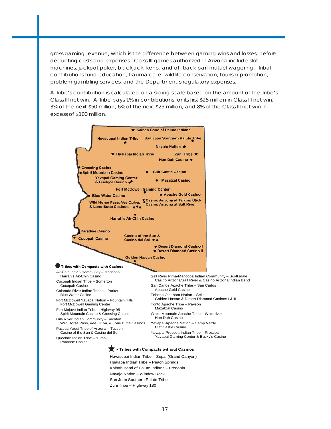gross gaming revenue, which is the difference between gaming wins and losses, before deducting costs and expenses. Class III games authorized in Arizona include slot machines, jackpot poker, blackjack, keno, and off-track pari-mutuel wagering. Tribal contributions fund education, trauma care, wildlife conservation, tourism promotion, problem gambling services, and the Department's regulatory expenses.

A Tribe's contribution is calculated on a sliding scale based on the amount of the Tribe's Class III net win. A Tribe pays 1% in contributions for its first \$25 million in Class III net win, 3% of the next \$50 million, 6% of the next \$25 million, and 8% of the Class III net win in excess of \$100 million.



Kaibab Band of Paiute Indians – Fredonia Navajo Nation – Window Rock San Juan Southern Paiute Tribe Zuni Tribe – Highway 180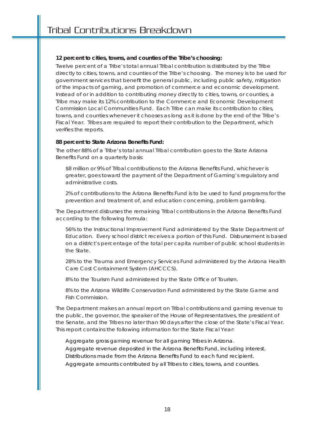# **12 percent to cities, towns, and counties of the Tribe's choosing:**

Twelve percent of a Tribe's total annual Tribal contribution is distributed by the Tribe directly to cities, towns, and counties of the Tribe's choosing. The money is to be used for government services that benefit the general public, including public safety, mitigation of the impacts of gaming, and promotion of commerce and economic development. Instead of or in addition to contributing money directly to cities, towns, or counties, a Tribe may make its 12% contribution to the Commerce and Economic Development Commission Local Communities Fund. Each Tribe can make its contribution to cities, towns, and counties whenever it chooses as long as it is done by the end of the Tribe's Fiscal Year. Tribes are required to report their contribution to the Department, which verifies the reports.

# 88 percent to State Arizona Benefits Fund:

The other 88% of a Tribe's total annual Tribal contribution goes to the State Arizona Benefits Fund on a quarterly basis:

\$8 million or 9% of Tribal contributions to the Arizona Benefits Fund, whichever is greater, goes toward the payment of the Department of Gaming's regulatory and administrative costs.

2% of contributions to the Arizona Benefits Fund is to be used to fund programs for the prevention and treatment of, and education concerning, problem gambling.

The Department disburses the remaining Tribal contributions in the Arizona Benefits Fund according to the following formula:

56% to the Instructional Improvement Fund administered by the State Department of Education. Every school district receives a portion of this Fund. Disbursement is based on a district's percentage of the total per capita number of public school students in the State.

28% to the Trauma and Emergency Services Fund administered by the Arizona Health Care Cost Containment System (AHCCCS).

8% to the Tourism Fund administered by the State Office of Tourism.

8% to the Arizona Wildlife Conservation Fund administered by the State Game and Fish Commission.

The Department makes an annual report on Tribal contributions and gaming revenue to the public, the governor, the speaker of the House of Representatives, the president of the Senate, and the Tribes no later than 90 days after the close of the State's Fiscal Year. This report contains the following information for the State Fiscal Year:

Aggregate gross gaming revenue for all gaming Tribes in Arizona. Aggregate revenue deposited in the Arizona Benefits Fund, including interest. Distributions made from the Arizona Benefits Fund to each fund recipient. Aggregate amounts contributed by all Tribes to cities, towns, and counties.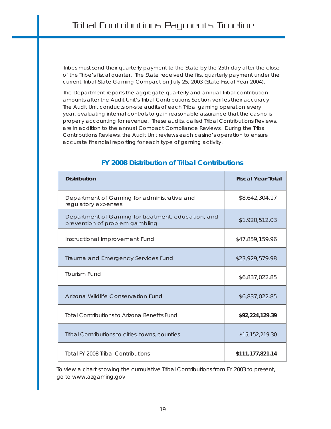Tribes must send their quarterly payment to the State by the 25th day after the close of the Tribe's fiscal quarter. The State received the first quarterly payment under the current Tribal-State Gaming Compact on July 25, 2003 (State Fiscal Year 2004).

The Department reports the aggregate quarterly and annual Tribal contribution amounts after the Audit Unit's Tribal Contributions Section verifies their accuracy. The Audit Unit conducts on-site audits of each Tribal gaming operation every year, evaluating internal controls to gain reasonable assurance that the casino is properly accounting for revenue. These audits, called Tribal Contributions Reviews, are in addition to the annual Compact Compliance Reviews. During the Tribal Contributions Reviews, the Audit Unit reviews each casino's operation to ensure accurate financial reporting for each type of gaming activity.

| <b>Distribution</b>                                                                  | <b>Fiscal Year Total</b> |
|--------------------------------------------------------------------------------------|--------------------------|
| Department of Gaming for administrative and<br>regulatory expenses                   | \$8,642,304.17           |
| Department of Gaming for treatment, education, and<br>prevention of problem gambling | \$1,920,512.03           |
| Instructional Improvement Fund                                                       | \$47,859,159.96          |
| Trauma and Emergency Services Fund                                                   | \$23,929,579.98          |
| <b>Tourism Fund</b>                                                                  | \$6,837,022.85           |
| Arizona Wildlife Conservation Fund                                                   | \$6,837,022.85           |
| <b>Total Contributions to Arizona Benefits Fund</b>                                  | \$92,224,129.39          |
| Tribal Contributions to cities, towns, counties                                      | \$15,152,219.30          |
| Total FY 2008 Tribal Contributions                                                   | \$111,177,821.14         |

# **FY 2008 Distribution of Tribal Contributions**

To view a chart showing the cumulative Tribal Contributions from FY 2003 to present, go to www.azgaming.gov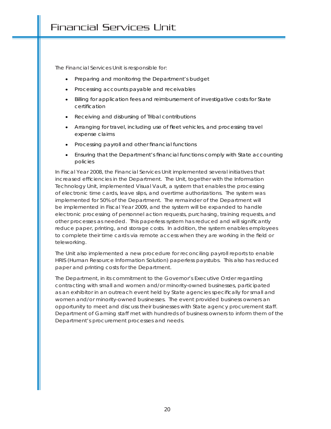The Financial Services Unit is responsible for:

- Preparing and monitoring the Department's budget
- Processing accounts payable and receivables
- Billing for application fees and reimbursement of investigative costs for State certification
- Receiving and disbursing of Tribal contributions
- Arranging for travel, including use of fleet vehicles, and processing travel expense claims
- Processing payroll and other financial functions
- Ensuring that the Department's financial functions comply with State accounting policies

In Fiscal Year 2008, the Financial Services Unit implemented several initiatives that increased efficiencies in the Department. The Unit, together with the Information Technology Unit, implemented Visual Vault, a system that enables the processing of electronic time cards, leave slips, and overtime authorizations. The system was implemented for 50% of the Department. The remainder of the Department will be implemented in Fiscal Year 2009, and the system will be expanded to handle electronic processing of personnel action requests, purchasing, training requests, and other processes as needed. This paperless system has reduced and will significantly reduce paper, printing, and storage costs. In addition, the system enables employees to complete their time cards via remote access when they are working in the field or teleworking.

The Unit also implemented a new procedure for reconciling payroll reports to enable HRIS (Human Resource Information Solution) paperless paystubs. This also has reduced paper and printing costs for the Department.

The Department, in its commitment to the Governor's Executive Order regarding contracting with small and women and/or minority-owned businesses, participated as an exhibitor in an outreach event held by State agencies specifically for small and women and/or minority-owned businesses. The event provided business owners an opportunity to meet and discuss their businesses with State agency procurement staff. Department of Gaming staff met with hundreds of business owners to inform them of the Department's procurement processes and needs.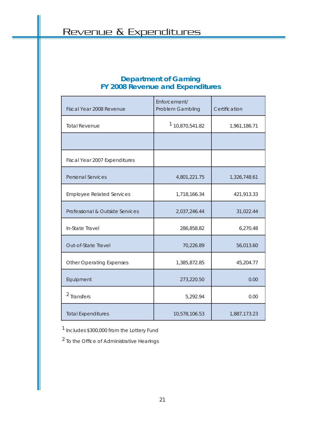# **Department of Gaming FY 2008 Revenue and Expenditures**

| Fiscal Year 2008 Revenue         | Enforcement/<br>Problem Gambling | Certification |
|----------------------------------|----------------------------------|---------------|
| <b>Total Revenue</b>             | <sup>1</sup> 10,870,541.82       | 1,961,186.71  |
|                                  |                                  |               |
| Fiscal Year 2007 Expenditures    |                                  |               |
| <b>Personal Services</b>         | 4,801,221.75                     | 1,326,748.61  |
| <b>Employee Related Services</b> | 1,718,166.34                     | 421,913.33    |
| Professional & Outside Services  | 2,037,246.44                     | 31,022.44     |
| In-State Travel                  | 286,858.82                       | 6,270.48      |
| Out-of-State Travel              | 70,226.89                        | 56,013.60     |
| <b>Other Operating Expenses</b>  | 1,385,872.85                     | 45,204.77     |
| Equipment                        | 273,220.50                       | 0.00          |
| <sup>2</sup> Transfers           | 5,292.94                         | 0.00          |
| <b>Total Expenditures</b>        | 10,578,106.53                    | 1,887,173.23  |

1 Includes \$300,000 from the Lottery Fund

 $2$  To the Office of Administrative Hearings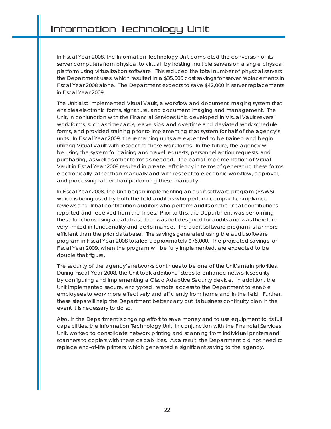In Fiscal Year 2008, the Information Technology Unit completed the conversion of its server computers from physical to virtual, by hosting multiple servers on a single physical platform using virtualization software. This reduced the total number of physical servers the Department uses, which resulted in a \$35,000 cost savings for server replacements in Fiscal Year 2008 alone. The Department expects to save \$42,000 in server replacements in Fiscal Year 2009.

The Unit also implemented Visual Vault, a workflow and document imaging system that enables electronic forms, signature, and document imaging and management. The Unit, in conjunction with the Financial Services Unit, developed in Visual Vault several work forms, such as timecards, leave slips, and overtime and deviated work schedule forms, and provided training prior to implementing that system for half of the agency's units. In Fiscal Year 2009, the remaining units are expected to be trained and begin utilizing Visual Vault with respect to these work forms. In the future, the agency will be using the system for training and travel requests, personnel action requests, and purchasing, as well as other forms as needed. The partial implementation of Visual Vault in Fiscal Year 2008 resulted in greater efficiency in terms of generating these forms electronically rather than manually and with respect to electronic workflow, approval, and processing rather than performing these manually.

In Fiscal Year 2008, the Unit began implementing an audit software program (PAWS), which is being used by both the field auditors who perform compact compliance reviews and Tribal contribution auditors who perform audits on the Tribal contributions reported and received from the Tribes. Prior to this, the Department was performing these functions using a database that was not designed for audits and was therefore very limited in functionality and performance. The audit software program is far more efficient than the prior database. The savings generated using the audit software program in Fiscal Year 2008 totaled approximately \$76,000. The projected savings for Fiscal Year 2009, when the program will be fully implemented, are expected to be double that figure.

The security of the agency's networks continues to be one of the Unit's main priorities. During Fiscal Year 2008, the Unit took additional steps to enhance network security by configuring and implementing a Cisco Adaptive Security device. In addition, the Unit implemented secure, encrypted, remote access to the Department to enable employees to work more effectively and efficiently from home and in the field. Further, these steps will help the Department better carry out its business continuity plan in the event it is necessary to do so.

Also, in the Department's ongoing effort to save money and to use equipment to its full capabilities, the Information Technology Unit, in conjunction with the Financial Services Unit, worked to consolidate network printing and scanning from individual printers and scanners to copiers with these capabilities. As a result, the Department did not need to replace end-of-life printers, which generated a significant saving to the agency.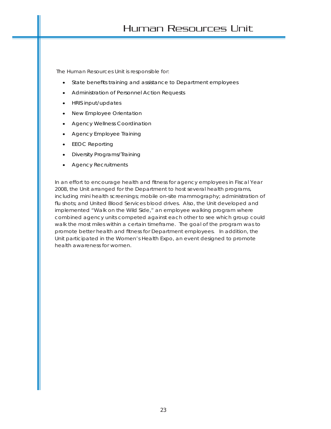The Human Resources Unit is responsible for:

- State benefits training and assistance to Department employees
- Administration of Personnel Action Requests
- HRIS input/updates
- New Employee Orientation
- Agency Wellness Coordination
- Agency Employee Training
- **EEOC Reporting**
- Diversity Programs/Training
- Agency Recruitments

In an effort to encourage health and fitness for agency employees in Fiscal Year 2008, the Unit arranged for the Department to host several health programs, including mini health screenings; mobile on-site mammography; administration of flu shots; and United Blood Services blood drives. Also, the Unit developed and implemented "Walk on the Wild Side," an employee walking program where combined agency units competed against each other to see which group could walk the most miles within a certain timeframe. The goal of the program was to promote better health and fitness for Department employees. In addition, the Unit participated in the Women's Health Expo, an event designed to promote health awareness for women.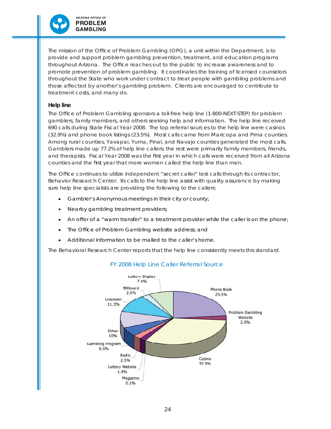

The mission of the Office of Problem Gambling (OPG), a unit within the Department, is to provide and support problem gambling prevention, treatment, and education programs throughout Arizona. The Office reaches out to the public to increase awareness and to promote prevention of problem gambling. It coordinates the training of licensed counselors throughout the State who work under contract to treat people with gambling problems and those affected by another's gambling problem. Clients are encouraged to contribute to treatment costs, and many do.

#### *Help line*

The Office of Problem Gambling sponsors a toll-free help line (1-800-NEXT-STEP) for problem gamblers, family members, and others seeking help and information. The help line received 690 calls during State Fiscal Year 2008. The top referral sources to the help line were casinos (32.9%) and phone book listings (23.5%). Most calls came from Maricopa and Pima counties. Among rural counties, Yavapai, Yuma, Pinal, and Navajo counties generated the most calls. Gamblers made up 77.2% of help line callers; the rest were primarily family members, friends, and therapists. Fiscal Year 2008 was the first year in which calls were received from all Arizona counties and the first year that more women called the help line than men.

The Office continues to utilize independent "secret caller" test calls through its contractor, Behavior Research Center. Its calls to the help line assist with quality assurance by making sure help line specialists are providing the following to the callers:

- Gambler's Anonymous meetings in their city or county;
- Nearby gambling treatment providers;
- An offer of a "warm transfer" to a treatment provider while the caller is on the phone;
- The Office of Problem Gambling website address; and
- Additional information to be mailed to the caller's home.

The Behavioral Research Center reports that the help line consistently meets this standard.



# FY 2008 Help Line Caller Referral Source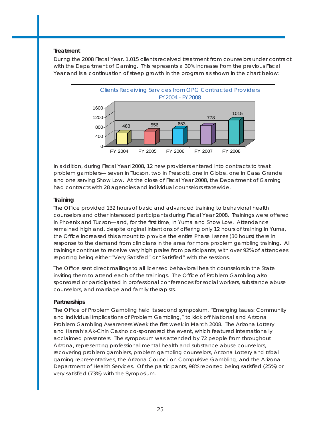### *Treatment*

During the 2008 Fiscal Year, 1,015 clients received treatment from counselors under contract with the Department of Gaming. This represents a 30% increase from the previous Fiscal Year and is a continuation of steep growth in the program as shown in the chart below:



In addition, during Fiscal Yearl 2008, 12 new providers entered into contracts to treat problem gamblers— seven in Tucson, two in Prescott, one in Globe, one in Casa Grande and one serving Show Low. At the close of Fiscal Year 2008, the Department of Gaming had contracts with 28 agencies and individual counselors statewide.

# *Training*

The Office provided 132 hours of basic and advanced training to behavioral health counselors and other interested participants during Fiscal Year 2008. Trainings were offered in Phoenix and Tucson—and, for the first time, in Yuma and Show Low. Attendance remained high and, despite original intentions of offering only 12 hours of training in Yuma, the Office increased this amount to provide the entire Phase I series (30 hours) there in response to the demand from clinicians in the area for more problem gambling training. All trainings continue to receive very high praise from participants, with over 92% of attendees reporting being either "Very Satisfied" or "Satisfied" with the sessions.

The Office sent direct mailings to all licensed behavioral health counselors in the State inviting them to attend each of the trainings. The Office of Problem Gambling also sponsored or participated in professional conferences for social workers, substance abuse counselors, and marriage and family therapists.

# *Partnerships*

The Office of Problem Gambling held its second symposium, "Emerging Issues: Community and Individual Implications of Problem Gambling," to kick off National and Arizona Problem Gambling Awareness Week the first week in March 2008. The Arizona Lottery and Harrah's Ak-Chin Casino co-sponsored the event, which featured internationally acclaimed presenters. The symposium was attended by 72 people from throughout Arizona, representing professional mental health and substance abuse counselors, recovering problem gamblers, problem gambling counselors, Arizona Lottery and tribal gaming representatives, the Arizona Council on Compulsive Gambling, and the Arizona Department of Health Services. Of the participants, 98% reported being satisfied (25%) or very satisfied (73%) with the Symposium.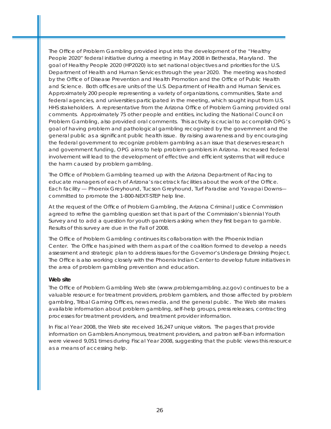The Office of Problem Gambling provided input into the development of the "Healthy People 2020" federal initiative during a meeting in May 2008 in Bethesda, Maryland. The goal of Healthy People 2020 (HP2020) is to set national objectives and priorities for the U.S. Department of Health and Human Services through the year 2020. The meeting was hosted by the Office of Disease Prevention and Health Promotion and the Office of Public Health and Science. Both offices are units of the U.S. Department of Health and Human Services. Approximately 200 people representing a variety of organizations, communities, State and federal agencies, and universities participated in the meeting, which sought input from U.S. HHS stakeholders. A representative from the Arizona Office of Problem Gaming provided oral comments. Approximately 75 other people and entities, including the National Council on Problem Gambling, also provided oral comments. This activity is crucial to accomplish OPG's goal of having problem and pathological gambling recognized by the government and the general public as a significant public health issue. By raising awareness and by encouraging the federal government to recognize problem gambling as an issue that deserves research and government funding, OPG aims to help problem gamblers in Arizona. Increased federal involvement will lead to the development of effective and efficient systems that will reduce the harm caused by problem gambling.

The Office of Problem Gambling teamed up with the Arizona Department of Racing to educate managers of each of Arizona's racetrack facilities about the work of the Office. Each facility — Phoenix Greyhound, Tucson Greyhound, Turf Paradise and Yavapai Downs committed to promote the 1-800-NEXT-STEP help line.

At the request of the Office of Problem Gambling, the Arizona Criminal Justice Commission agreed to refine the gambling question set that is part of the Commission's biennial Youth Survey and to add a question for youth gamblers asking when they first began to gamble. Results of this survey are due in the Fall of 2008.

The Office of Problem Gambling continues its collaboration with the Phoenix Indian Center. The Office has joined with them as part of the coalition formed to develop a needs assessment and strategic plan to address issues for the Governor's Underage Drinking Project. The Office is also working closely with the Phoenix Indian Center to develop future initiatives in the area of problem gambling prevention and education.

#### *Web site*

The Office of Problem Gambling Web site (www.problemgambling.az.gov) continues to be a valuable resource for treatment providers, problem gamblers, and those affected by problem gambling, Tribal Gaming Offices, news media, and the general public. The Web site makes available information about problem gambling, self-help groups, press releases, contracting processes for treatment providers, and treatment provider information.

In Fiscal Year 2008, the Web site received 16,247 unique visitors. The pages that provide information on Gamblers Anonymous, treatment providers, and patron self-ban information were viewed 9,051 times during Fiscal Year 2008, suggesting that the public views this resource as a means of accessing help.